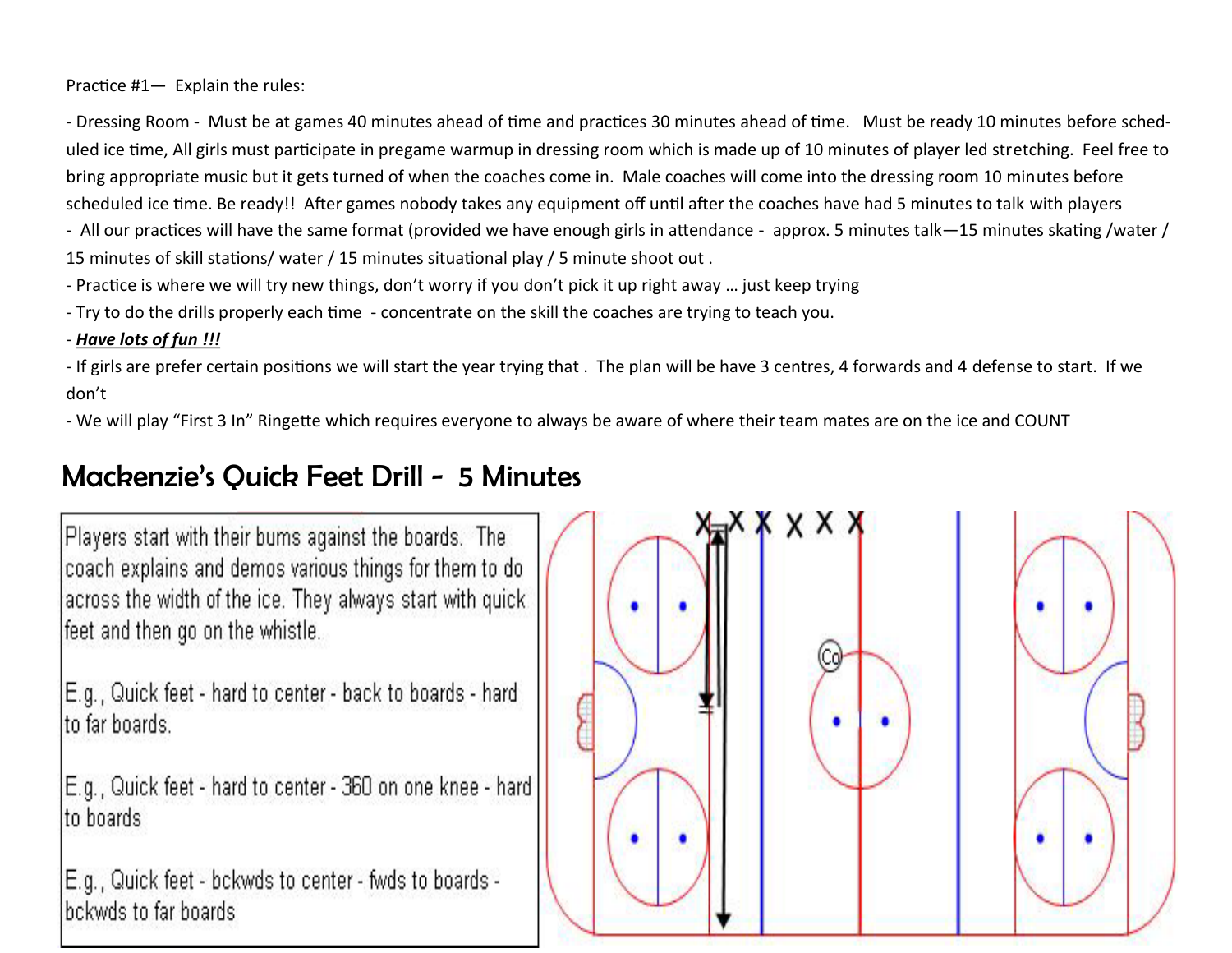Practice #1— Explain the rules:

- Dressing Room - Must be at games 40 minutes ahead of time and practices 30 minutes ahead of time. Must be ready 10 minutes before scheduled ice time, All girls must participate in pregame warmup in dressing room which is made up of 10 minutes of player led stretching. Feel free to bring appropriate music but it gets turned of when the coaches come in. Male coaches will come into the dressing room 10 minutes before scheduled ice time. Be ready!! After games nobody takes any equipment off until after the coaches have had 5 minutes to talk with players

- All our practices will have the same format (provided we have enough girls in attendance - approx. 5 minutes talk—15 minutes skating /water / 15 minutes of skill stations/ water / 15 minutes situational play / 5 minute shoot out .

- Practice is where we will try new things, don't worry if you don't pick it up right away … just keep trying

- Try to do the drills properly each time - concentrate on the skill the coaches are trying to teach you.

- *Have lots of fun !!!*

- If girls are prefer certain positions we will start the year trying that . The plan will be have 3 centres, 4 forwards and 4 defense to start. If we don't

- We will play "First 3 In" Ringette which requires everyone to always be aware of where their team mates are on the ice and COUNT

## Mackenzie's Quick Feet Drill - 5 Minutes

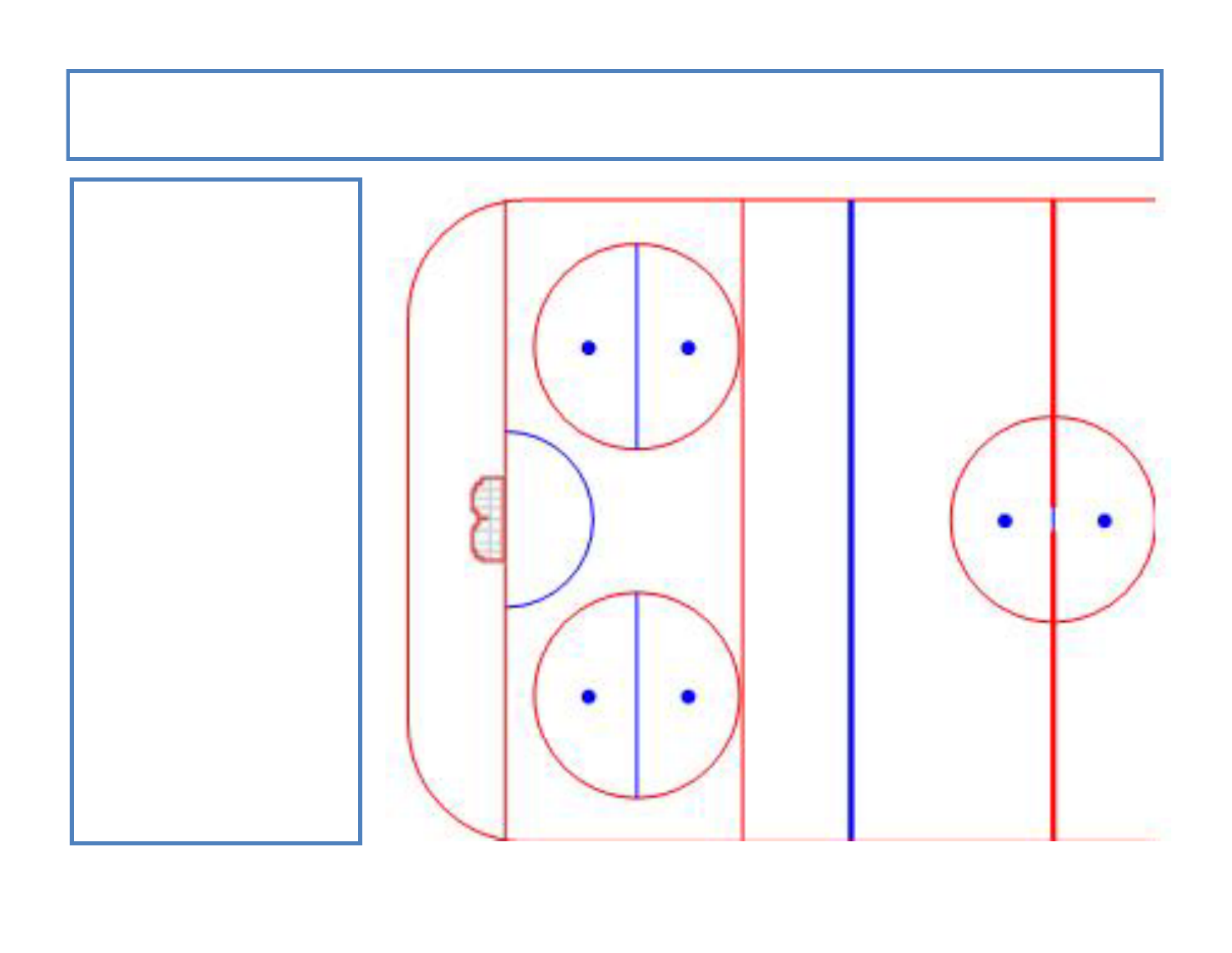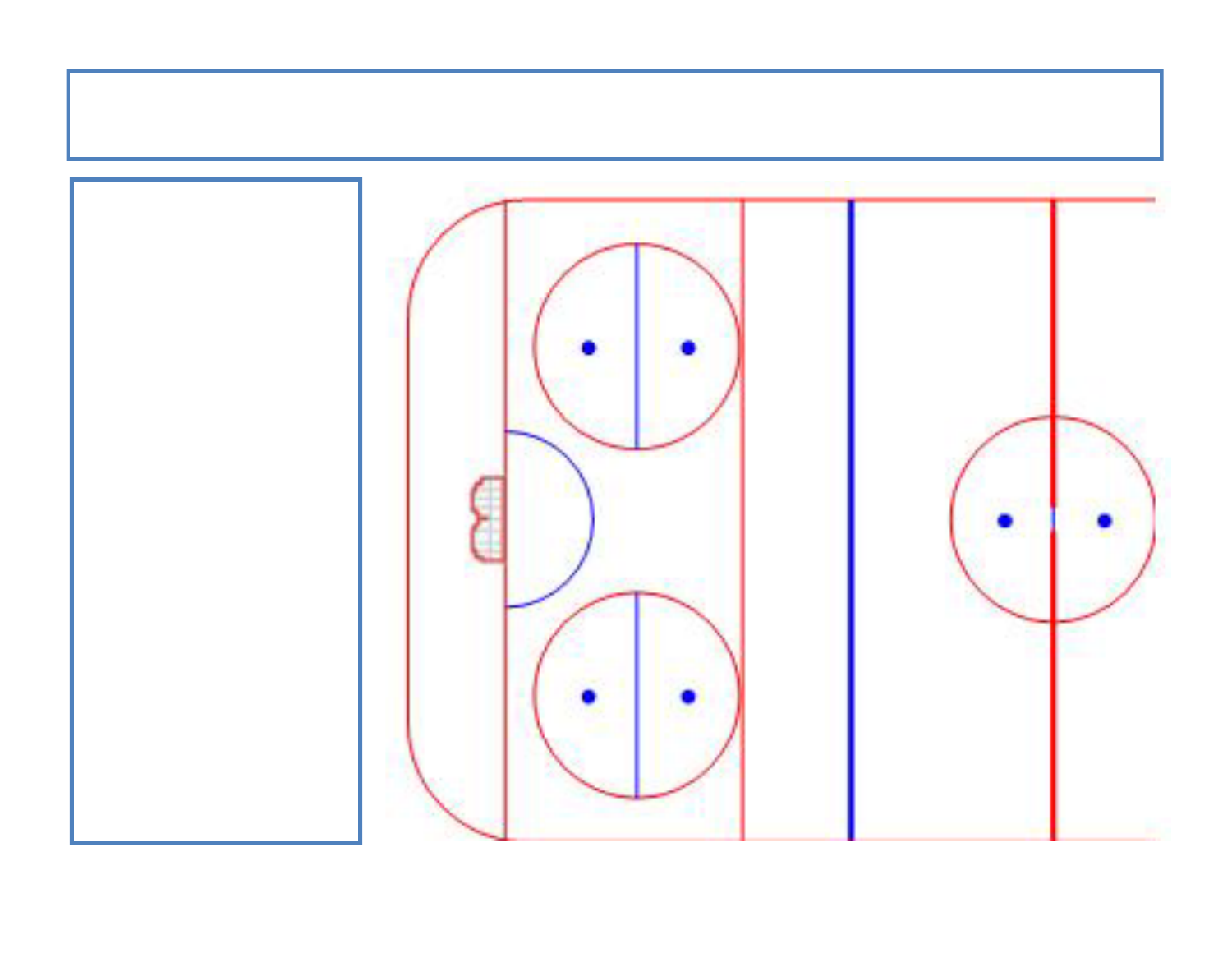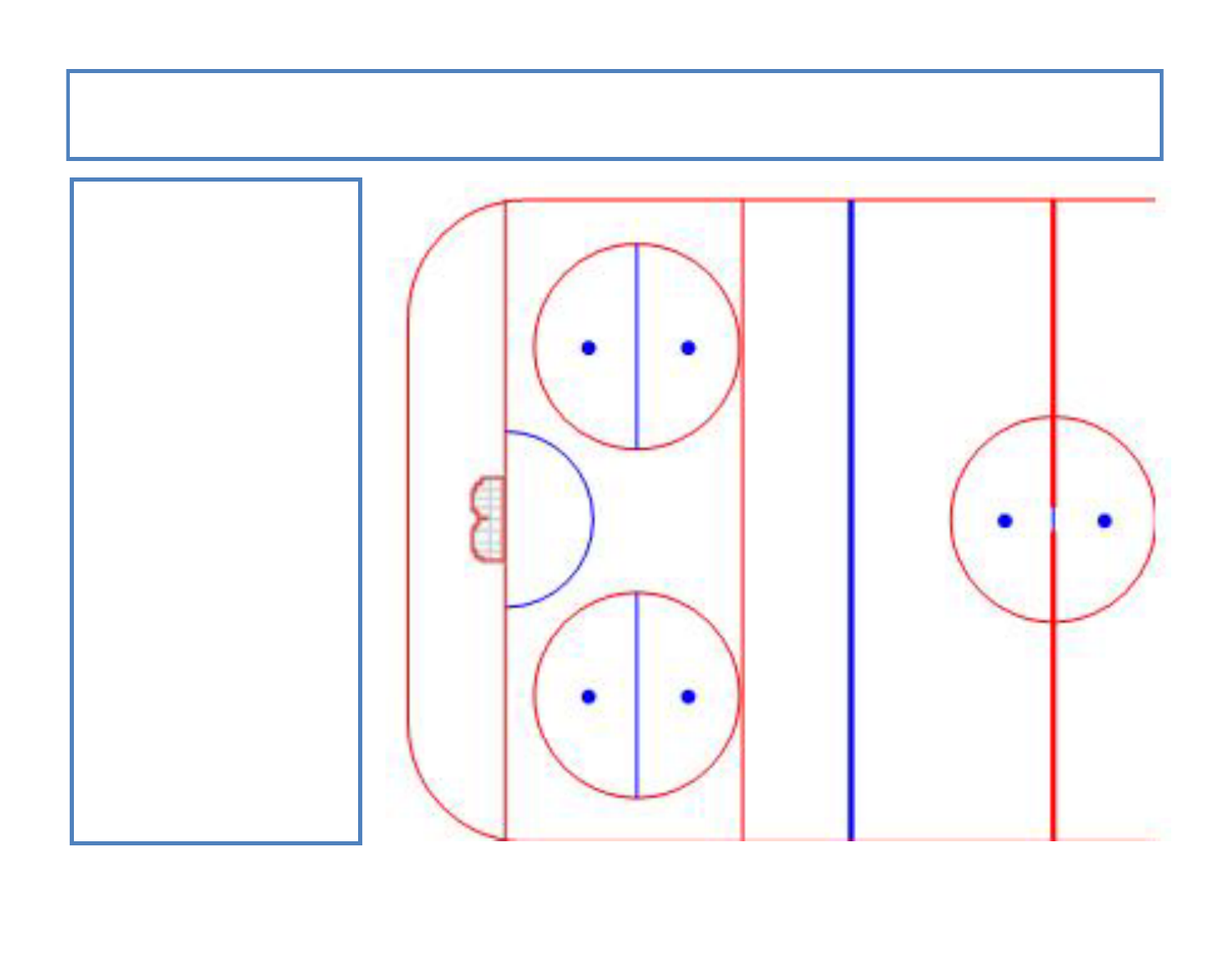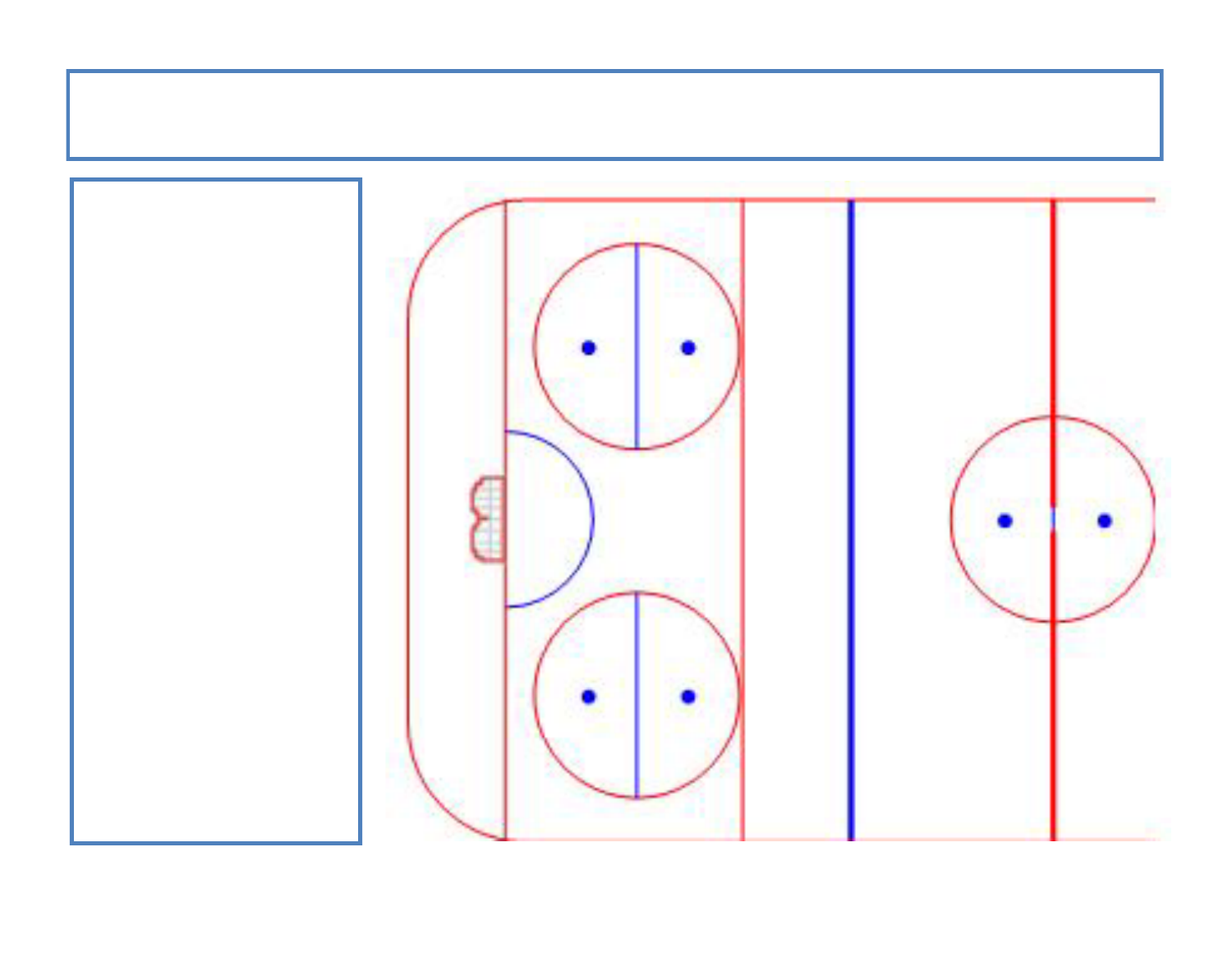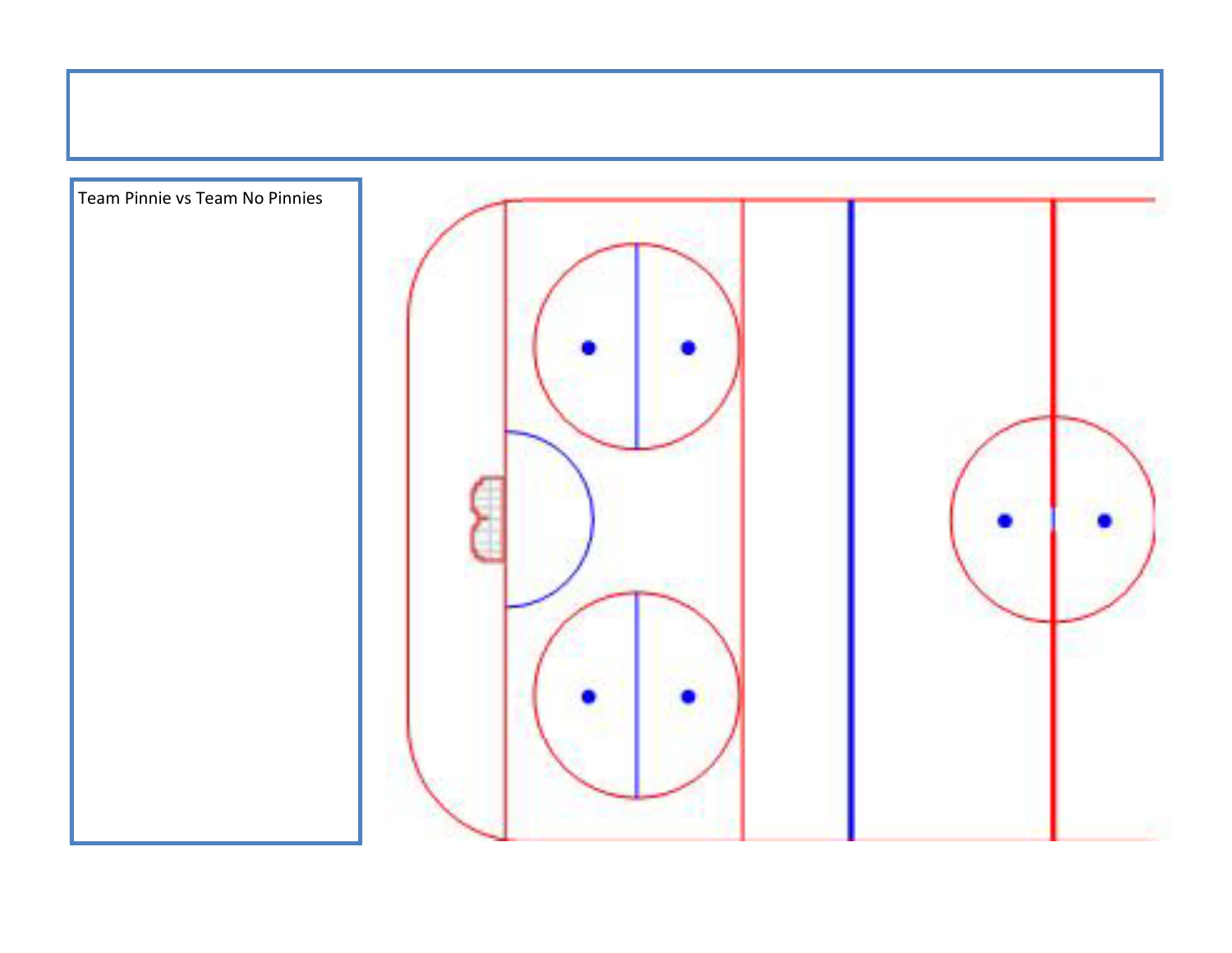